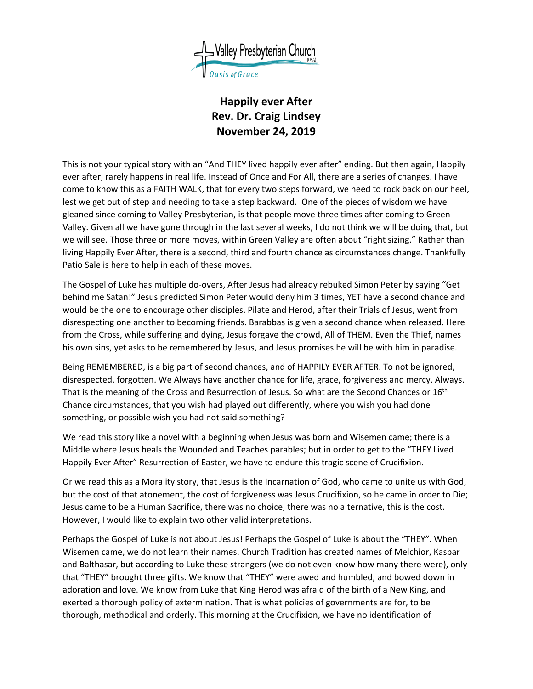

## **Happily ever After Rev. Dr. Craig Lindsey November 24, 2019**

This is not your typical story with an "And THEY lived happily ever after" ending. But then again, Happily ever after, rarely happens in real life. Instead of Once and For All, there are a series of changes. I have come to know this as a FAITH WALK, that for every two steps forward, we need to rock back on our heel, lest we get out of step and needing to take a step backward. One of the pieces of wisdom we have gleaned since coming to Valley Presbyterian, is that people move three times after coming to Green Valley. Given all we have gone through in the last several weeks, I do not think we will be doing that, but we will see. Those three or more moves, within Green Valley are often about "right sizing." Rather than living Happily Ever After, there is a second, third and fourth chance as circumstances change. Thankfully Patio Sale is here to help in each of these moves.

The Gospel of Luke has multiple do-overs, After Jesus had already rebuked Simon Peter by saying "Get behind me Satan!" Jesus predicted Simon Peter would deny him 3 times, YET have a second chance and would be the one to encourage other disciples. Pilate and Herod, after their Trials of Jesus, went from disrespecting one another to becoming friends. Barabbas is given a second chance when released. Here from the Cross, while suffering and dying, Jesus forgave the crowd, All of THEM. Even the Thief, names his own sins, yet asks to be remembered by Jesus, and Jesus promises he will be with him in paradise.

Being REMEMBERED, is a big part of second chances, and of HAPPILY EVER AFTER. To not be ignored, disrespected, forgotten. We Always have another chance for life, grace, forgiveness and mercy. Always. That is the meaning of the Cross and Resurrection of Jesus. So what are the Second Chances or 16<sup>th</sup> Chance circumstances, that you wish had played out differently, where you wish you had done something, or possible wish you had not said something?

We read this story like a novel with a beginning when Jesus was born and Wisemen came; there is a Middle where Jesus heals the Wounded and Teaches parables; but in order to get to the "THEY Lived Happily Ever After" Resurrection of Easter, we have to endure this tragic scene of Crucifixion.

Or we read this as a Morality story, that Jesus is the Incarnation of God, who came to unite us with God, but the cost of that atonement, the cost of forgiveness was Jesus Crucifixion, so he came in order to Die; Jesus came to be a Human Sacrifice, there was no choice, there was no alternative, this is the cost. However, I would like to explain two other valid interpretations.

Perhaps the Gospel of Luke is not about Jesus! Perhaps the Gospel of Luke is about the "THEY". When Wisemen came, we do not learn their names. Church Tradition has created names of Melchior, Kaspar and Balthasar, but according to Luke these strangers (we do not even know how many there were), only that "THEY" brought three gifts. We know that "THEY" were awed and humbled, and bowed down in adoration and love. We know from Luke that King Herod was afraid of the birth of a New King, and exerted a thorough policy of extermination. That is what policies of governments are for, to be thorough, methodical and orderly. This morning at the Crucifixion, we have no identification of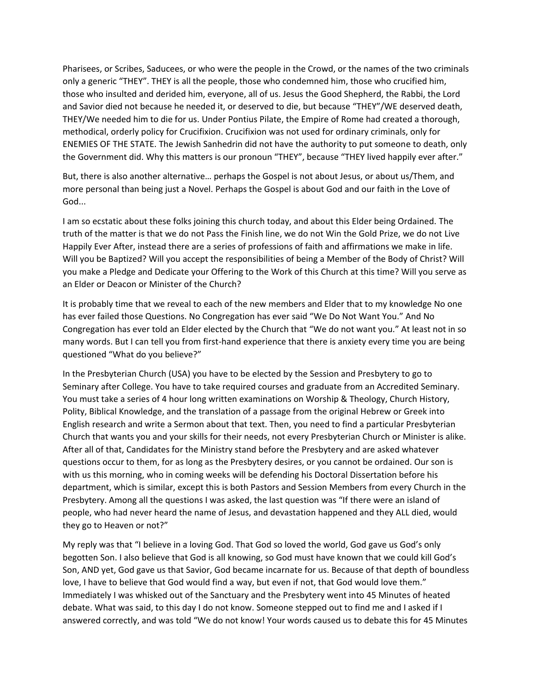Pharisees, or Scribes, Saducees, or who were the people in the Crowd, or the names of the two criminals only a generic "THEY". THEY is all the people, those who condemned him, those who crucified him, those who insulted and derided him, everyone, all of us. Jesus the Good Shepherd, the Rabbi, the Lord and Savior died not because he needed it, or deserved to die, but because "THEY"/WE deserved death, THEY/We needed him to die for us. Under Pontius Pilate, the Empire of Rome had created a thorough, methodical, orderly policy for Crucifixion. Crucifixion was not used for ordinary criminals, only for ENEMIES OF THE STATE. The Jewish Sanhedrin did not have the authority to put someone to death, only the Government did. Why this matters is our pronoun "THEY", because "THEY lived happily ever after."

But, there is also another alternative… perhaps the Gospel is not about Jesus, or about us/Them, and more personal than being just a Novel. Perhaps the Gospel is about God and our faith in the Love of God...

I am so ecstatic about these folks joining this church today, and about this Elder being Ordained. The truth of the matter is that we do not Pass the Finish line, we do not Win the Gold Prize, we do not Live Happily Ever After, instead there are a series of professions of faith and affirmations we make in life. Will you be Baptized? Will you accept the responsibilities of being a Member of the Body of Christ? Will you make a Pledge and Dedicate your Offering to the Work of this Church at this time? Will you serve as an Elder or Deacon or Minister of the Church?

It is probably time that we reveal to each of the new members and Elder that to my knowledge No one has ever failed those Questions. No Congregation has ever said "We Do Not Want You." And No Congregation has ever told an Elder elected by the Church that "We do not want you." At least not in so many words. But I can tell you from first-hand experience that there is anxiety every time you are being questioned "What do you believe?"

In the Presbyterian Church (USA) you have to be elected by the Session and Presbytery to go to Seminary after College. You have to take required courses and graduate from an Accredited Seminary. You must take a series of 4 hour long written examinations on Worship & Theology, Church History, Polity, Biblical Knowledge, and the translation of a passage from the original Hebrew or Greek into English research and write a Sermon about that text. Then, you need to find a particular Presbyterian Church that wants you and your skills for their needs, not every Presbyterian Church or Minister is alike. After all of that, Candidates for the Ministry stand before the Presbytery and are asked whatever questions occur to them, for as long as the Presbytery desires, or you cannot be ordained. Our son is with us this morning, who in coming weeks will be defending his Doctoral Dissertation before his department, which is similar, except this is both Pastors and Session Members from every Church in the Presbytery. Among all the questions I was asked, the last question was "If there were an island of people, who had never heard the name of Jesus, and devastation happened and they ALL died, would they go to Heaven or not?"

My reply was that "I believe in a loving God. That God so loved the world, God gave us God's only begotten Son. I also believe that God is all knowing, so God must have known that we could kill God's Son, AND yet, God gave us that Savior, God became incarnate for us. Because of that depth of boundless love, I have to believe that God would find a way, but even if not, that God would love them." Immediately I was whisked out of the Sanctuary and the Presbytery went into 45 Minutes of heated debate. What was said, to this day I do not know. Someone stepped out to find me and I asked if I answered correctly, and was told "We do not know! Your words caused us to debate this for 45 Minutes